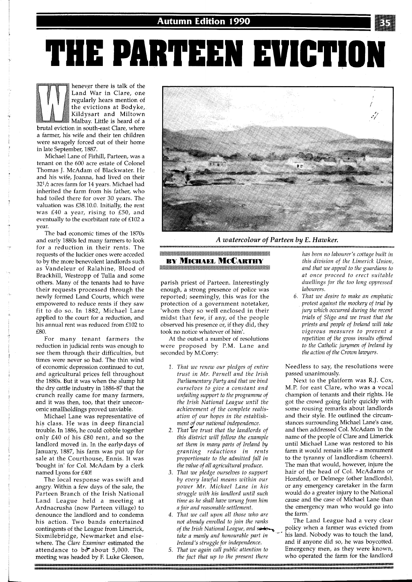**THE PARTEEN EVICTION** 

henever there is talk of the Land War in Clare, one regularly hears mention of the evictions at Bodyke, Kildysart and Miltown Malbay. Little is heard of a brutal eviction in south-east Clare, where a farmer, his wife and their ten children were savagely forced out of their home in late September, 1887.

Michael Lane of Firhill, Parteen, was a tenant on the 600 acre estate of Colonel Thomas J. McAdam of Blackwater. He and his wife, Joanna, had lived on their  $32<sup>1</sup>/2$  acres farm for 14 years. Michael had inherited the farm from his father, who had toiled there for over 30 years. The valuation was £38.10.0. Initially, the rent was £40 a year, rising to £50, and eventually to the exorbitant rate of £102 a year.

The bad economic times of the 1870s and early 1880s led many farmers to look for a reduction in their rents. The requests of the luckier ones were acceded to by the more benevolent landlords such as Vandeleur of Ralahine, Blood of Brackhill, Westropp of Tulla and some others. Manv of the tenants had to have their requests processed through the newly formed Land Courts, which were empowered to reduce rents if they saw fit to do so. In 1882, Michael Lane applied to the court for a reduction, and his annual rent was reduced from £102 to £80.

For many tenant farmers the reduction in judicial rents was enough to see them through their difficulties, but times were never so bad. The thin wind of economic depression continued to cut, and agricultural prices fell throughout the 1880s. But it was when the slump hit the dry cattle industry in 1886-87 that the crunch really came for many farmers, and it was then, too, that their uneconomic smallholdings proved unviable.

Michael Lane was representative of his class. He was in deep financial trouble. In 1886, he could cobble together only £40 of his £80 rent, and so the landlord moved in. In the early days of January, 1887, his farm was put up for sale at the Courthouse, Ennis. It was 'bought in' for Col. McAdam by a clerk named Lyons for £40!

The local response was swift and angry. Within a few days of the sale, the Parteen Branch of the Irish National Land League held a meeting at Ardnacrusha (now Parteen village) to denounce the landlord and to condemn his action. Two bands entertained contingents of the League from Limerick, Sixmilebridge, Newmarket and elsewhere. The *Clare Examiner* estimated the attendance to be about 5,000. The meeting was headed by F. Luke Gleeson,



*A watercolour of Parteen by E. Hawker.* 

## <u> 1960-1960 - 1960 - 1960 - 1960 - 1960 - 1960 - 1960 - 1960 - 1960 - 1960 - 1960 - 1960 - 1960 - 1960 - 1960 -</u> **BY MICHAEL MCCARTHY** <u> a manazara ya matsa ya matsa ya matsa ya matsa ya m</u>

parish priest of Parteen. Interestingly enough, a strong presence of police was reported; seemingly, this was for the protection of a government notetaker, 'whom they so well enclosed in their midst that few, if any, of the people observed his presence or, if they did, they took no notice whatever of him'.

At the outset a number of resolutions were proposed by P.M. Lane and seconded by M.Corry:

- *That we renew our pledges of entire trust in Mr. Parnell and the Irish Parliamentary Party and that we bind ourselves to give a constant and unfailing support to the programme of the Irish National League until the achievement of the complete realisation of our hopes in the establish-*
- *ment o our national independence.* **f** *That we trust that the landlords of this district will follow the example set them in many parts of Ireland by granting reductions in rents proportionate to the admitted fall in the value of all agricultural produce.*
- *That we pledge ourselves to support by every lawful means within our power Mr. Michael Lane in his struggle with his landlord until such time as he shall have wrung from him a fair and reasonable settlement.*
- *That we call upon all those who are not alreadu enrolled to join the ranks*
- 

*has been no labourer's cottage built in this division of the Limerick Union, and that we appeal to the guardians to at once proceed to erect suitable dwellings for the too long oppressed labourers.* 

*That we desire to make an emphatic protest against the mockery of trial by jury which occurred during the recent trials of Sligo and we trust that the priests and people of Ireland will take vigorous measures to prevent a repetition of the gross insults offered to the Catholic jurymen of Ireland by the action of the Crown lawyers.* 

Needless to say, the resolutions were passed unanimously.

Next to the platform was R.J. Cox, M.P. for east Clare, who was a vocal champion of tenants and their rights. He got the crowd going fairly quickly with some rousing remarks about landlords and their style. He outlined the circumstances surrounding Michael Lane's case, and then addressed Col. McAdam 'in the name of the people of Clare and Limerick until Michael Lane was restored to his farm it would remain idle - a monument to the tyranny of landlordism (cheers). The man that would, however, injure the hair of the head of Col. McAdams or Horsford, or Delmege (other landlords), or any emergency caretaker in the farm would do a greater injury to the National cause and the case of Michael Lane than the emergency man who would go into the farm.'

The Land League had a very clear *of the Irish National League, and seton policy when a farmer was evicted from take a manly and honourable part in* <sup>1</sup><sup>--</sup> his land. Nobody was to touch the land, *Ireland's struggle for independence*. and if anyone did so, he was boycotted. *Ireland's struggle for independence.* and if anyone did so, he was boycotted.<br>5. That we again call public attention to Emergency men, as they were known, Emergency men, as they were known, *the fact that up to the present there* who operated the farm for the landlord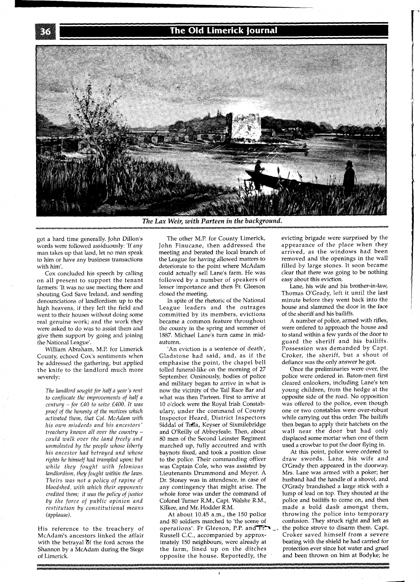## The Old Limerick Journal



*The Lax Weir,* **with** *Parteen in the background.* 

got a hard time generally. John Dillon's words were followed assiduously: 'If any man takes up that land, let no man speak to him or have any business transactions with him'.

Cox concluded his speech by calling on all present to support the tenant farmers: 'It was no use meeting there and shouting God Save Ireland, and sending denounciations of landlordism up to the high heavens, if they left the field and went to their houses without doing some real genuine work; and the work they were asked to do was to assist them and give them support by going and joining the National League'.

William Abraham, M.P. for Limerick County, echoed Cox's sentiments when he addressed the gathering, but applied the knife to the landlord much more severely:

*The landlord sought for half a year's rent to confiscate the improvements of half a century -for £40 to seize £400. It was proof of the honesty of the motives which activated them, that Col. McAdam with his own misdeeds and his ancestors' treachery known all over the country could walk over the land freely and unmolested by the people whose liberty his ancestor had betrayed and whose rights he himself had trampled upon; but while they fought with felonious landlordism, they fought within the laws. Theirs was not a policy of rapine of bloodshed, with which their opponents credited them; it was the policy of justice by the force of public opinion and restitution by constitutional means (applause).* 

His reference to the treachery of McAdam's ancestors linked the affair with the betrayal of the ford across the Shannon by a McAdam during the Siege of Limerick.

The other M.P. for County Limerick, John Finucane, then addressed the meeting and berated the local branch of the League for having allowed matters to deteriorate to the point where McAdam could actually sell Lane's farm. He was followed by a number of speakers of lesser importance and then Fr. Gleeson closed the meeting.

In spite of the rhetoric of the National League leaders and the outrages committed by its members, evictions became a common feature throughout the county in the spring and summer of 1887. Michael Lane's turn came in midautumn.

'An eviction is a sentence of death', Gladstone had said, and, as if the emphasise the point, the chapel bell tolled funeral-like on the morning of 27 September. Ominously, bodies of police and military began to arrive in what is now the vicinity of the Tail Race Bar and what was then Parteen. First to arrive at 10 o'clock were the Royal Irish Constabulary, under the command of County Inspector Heard, District Inspectors Siddal of Tulla, Keyser of Sixmilebridge and O'Reilly of Abbeyfeale. Then, about 80 men of the Second Leinster Regiment marched up, fully accoutred and with baynots fixed, and took a position close to the police. Their commanding officer was Captain Cole, who was assisted by Lieutenants Drummond and Meyer. A Dr. Stoney was in attendence, in case of any contingency that might arise. The whole force was under the command of Colonel Turner R.M., Capt. Walshe R.M., Kilkee, and Mr. Hodder R.M.

At about 10.45 a.m., the 150 police and 80 soldiers marched to 'the scene of operations'. Fr Gleeson, P.P. and  $\overline{F}$ . the police strove to disarm them. Capt.<br>Russell C.C., accompanied by approx-<br>Croker saved himself from a severe Russell C.C., accompanied by approx-<br>imately 150 neighbours, were already at beating with the shield he had carried for imately 150 neighbours, were already at the farm, lined up on the ditches protection ever since hot water and gruel<br>opposite the house. Reportedly, the and been thrown on him at Bodyke; he opposite the house. Reportedly, the

evicting brigade were surprised by the appearance of the place when they arrived, as the windows had been removed and the openings in the wall filled by large stones. It soon became clear that there was going to be nothing easy about this eviction.

Lane, his wife and his brother-in-law, Thomas O'Grady, left it until the last minute before they went back into the house and slammed the door in the face of the sheriff and his bailiffs.

A number of police, armed with rifles, were ordered to approach the house and to stand within a few yards of the door to guard the sheriff and his bailiffs. Possession was demanded by Capt. Croker, the sheriff, but a shout of defiance was the only answer he got.

Once the preliminaries were over, the police were ordered in. Baton-men first cleared onlookers, including Lane's ten young children, from the hedge at the opposite side of the road. No opposition ' was offered to the police, even though one or two constables were over-robust while carrying out this order. The bailiffs then began to apply their hatchets on the wall near the door but had only displaced some mortar when one of them used a crowbar to put the door flying in.

At this point, police were ordered to draw swords. Lane, his wife and O'Grady then appeared in the doorway. Mrs. Lane was armed with a poker; her husband had the handle of a shovel, and O'Grady brandished a large stick with a lump of lead on top. They shouted at the police and bailiffs to come on, and then made a bold dash amongst them, throwing the police into temporary confusion. They struck right and left as